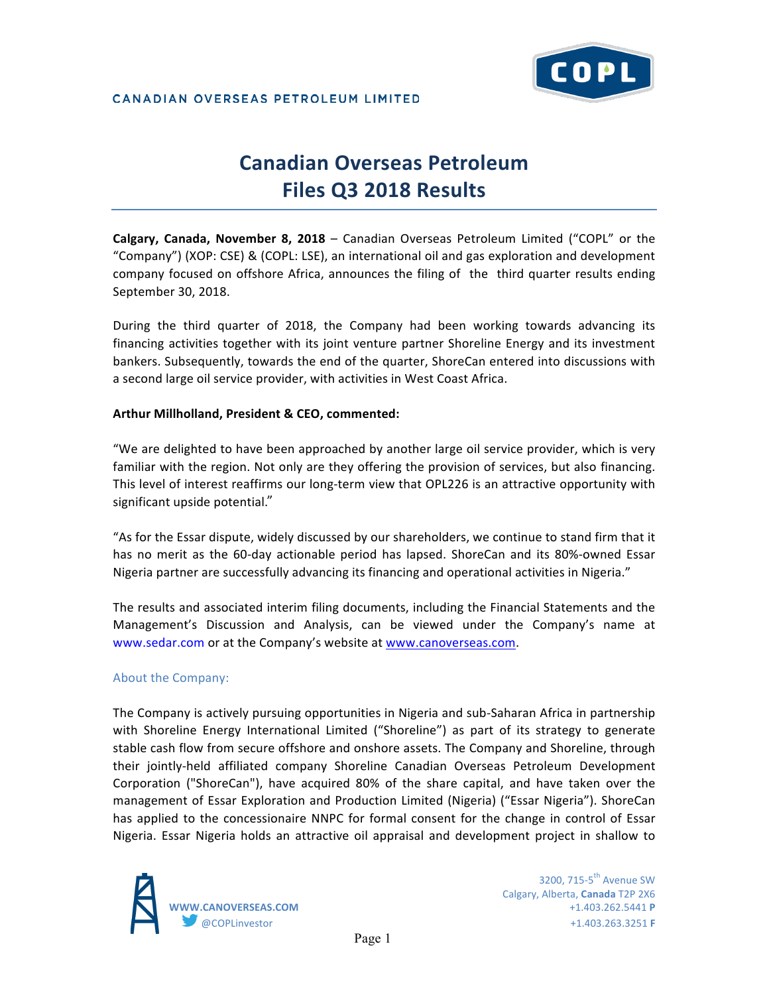

# CANADIAN OVERSEAS PETROLEUM LIMITED

# **Canadian Overseas Petroleum Files Q3 2018 Results**

**Calgary, Canada, November 8, 2018** – Canadian Overseas Petroleum Limited ("COPL" or the "Company") (XOP: CSE) & (COPL: LSE), an international oil and gas exploration and development company focused on offshore Africa, announces the filing of the third quarter results ending September 30, 2018.

During the third quarter of 2018, the Company had been working towards advancing its financing activities together with its joint venture partner Shoreline Energy and its investment bankers. Subsequently, towards the end of the quarter, ShoreCan entered into discussions with a second large oil service provider, with activities in West Coast Africa.

# Arthur Millholland, President & CEO, commented:

"We are delighted to have been approached by another large oil service provider, which is very familiar with the region. Not only are they offering the provision of services, but also financing. This level of interest reaffirms our long-term view that OPL226 is an attractive opportunity with significant upside potential."

"As for the Essar dispute, widely discussed by our shareholders, we continue to stand firm that it has no merit as the 60-day actionable period has lapsed. ShoreCan and its 80%-owned Essar Nigeria partner are successfully advancing its financing and operational activities in Nigeria."

The results and associated interim filing documents, including the Financial Statements and the Management's Discussion and Analysis, can be viewed under the Company's name at www.sedar.com or at the Company's website at www.canoverseas.com.

# About the Company:

The Company is actively pursuing opportunities in Nigeria and sub-Saharan Africa in partnership with Shoreline Energy International Limited ("Shoreline") as part of its strategy to generate stable cash flow from secure offshore and onshore assets. The Company and Shoreline, through their jointly-held affiliated company Shoreline Canadian Overseas Petroleum Development Corporation ("ShoreCan"), have acquired 80% of the share capital, and have taken over the management of Essar Exploration and Production Limited (Nigeria) ("Essar Nigeria"). ShoreCan has applied to the concessionaire NNPC for formal consent for the change in control of Essar Nigeria. Essar Nigeria holds an attractive oil appraisal and development project in shallow to



 $3200.715-5$ <sup>th</sup> Avenue SW Calgary, Alberta, **Canada** T2P 2X6 **WWW.CANOVERSEAS.COM** +1.403.262.5441 **P** @COPLinvestor +1.403.263.3251 **F**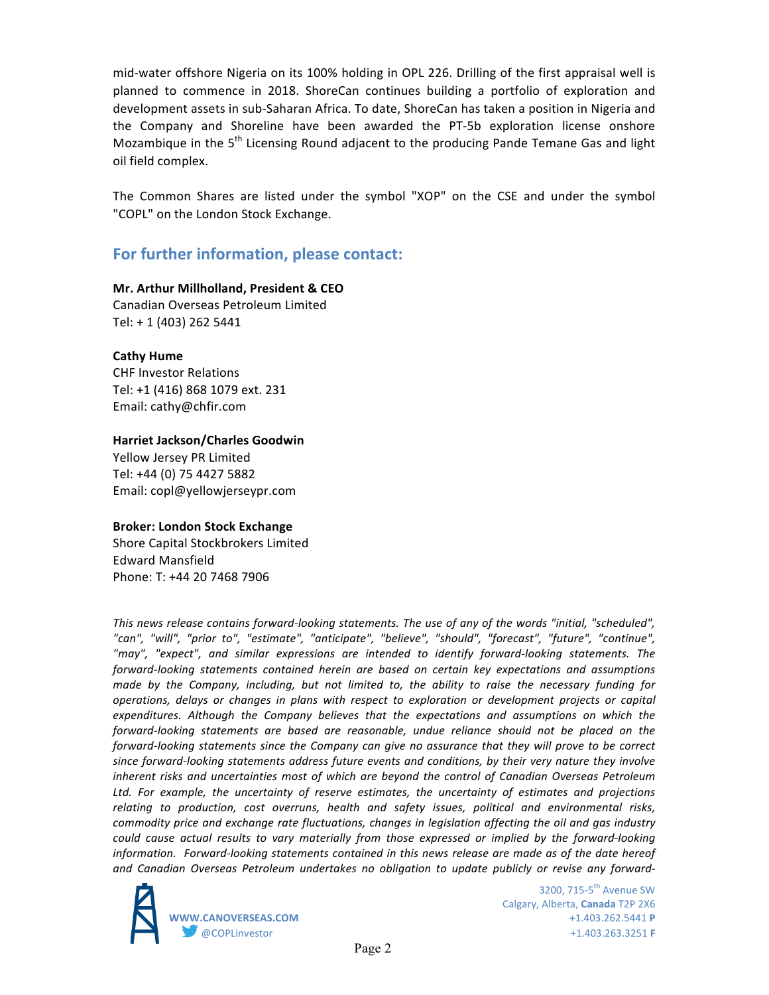mid-water offshore Nigeria on its 100% holding in OPL 226. Drilling of the first appraisal well is planned to commence in 2018. ShoreCan continues building a portfolio of exploration and development assets in sub-Saharan Africa. To date, ShoreCan has taken a position in Nigeria and the Company and Shoreline have been awarded the PT-5b exploration license onshore Mozambique in the  $5<sup>th</sup>$  Licensing Round adjacent to the producing Pande Temane Gas and light oil field complex.

The Common Shares are listed under the symbol "XOP" on the CSE and under the symbol "COPL" on the London Stock Exchange.

# For further information, please contact:

**Mr. Arthur Millholland, President & CEO** Canadian Overseas Petroleum Limited Tel: + 1 (403) 262 5441

### **Cathy Hume**

**CHF Investor Relations** Tel: +1 (416) 868 1079 ext. 231 Email: cathy@chfir.com

### **Harriet Jackson/Charles Goodwin**

Yellow Jersey PR Limited Tel: +44 (0) 75 4427 5882 Email: copl@yellowjerseypr.com

#### **Broker: London Stock Exchange**

Shore Capital Stockbrokers Limited Edward Mansfield Phone: T: +44 20 7468 7906

This news release contains forward-looking statements. The use of any of the words "initial, "scheduled", *"can", "will", "prior to", "estimate", "anticipate", "believe", "should", "forecast", "future", "continue",*  "may", "expect", and similar expressions are intended to identify forward-looking statements. The *forward-looking* statements contained herein are based on certain key expectations and assumptions made by the Company, including, but not limited to, the ability to raise the necessary funding for *operations, delays or changes in plans with respect to exploration or development projects or capital* expenditures. Although the Company believes that the expectations and assumptions on which the *forward-looking* statements are based are reasonable, undue reliance should not be placed on the *forward-looking statements since the Company can give no assurance that they will prove to be correct* since forward-looking statements address future events and conditions, by their very nature they involve *inherent risks and uncertainties most of which are beyond the control of Canadian Overseas Petroleum* Ltd. For example, the uncertainty of reserve estimates, the uncertainty of estimates and projections relating to production, cost overruns, health and safety *issues*, political and environmental risks, commodity price and exchange rate fluctuations, changes in legislation affecting the oil and gas industry *could* cause actual results to vary materially from those expressed or implied by the forward-looking *information. Forward-looking statements contained in this news release are made as of the date hereof* and Canadian Overseas Petroleum undertakes no obligation to update publicly or revise any forward-



3200, 715-5<sup>th</sup> Avenue SW Calgary, Alberta, **Canada** T2P 2X6 **WWW.CANOVERSEAS.COM** +1.403.262.5441 **P** @COPLinvestor +1.403.263.3251 **F**